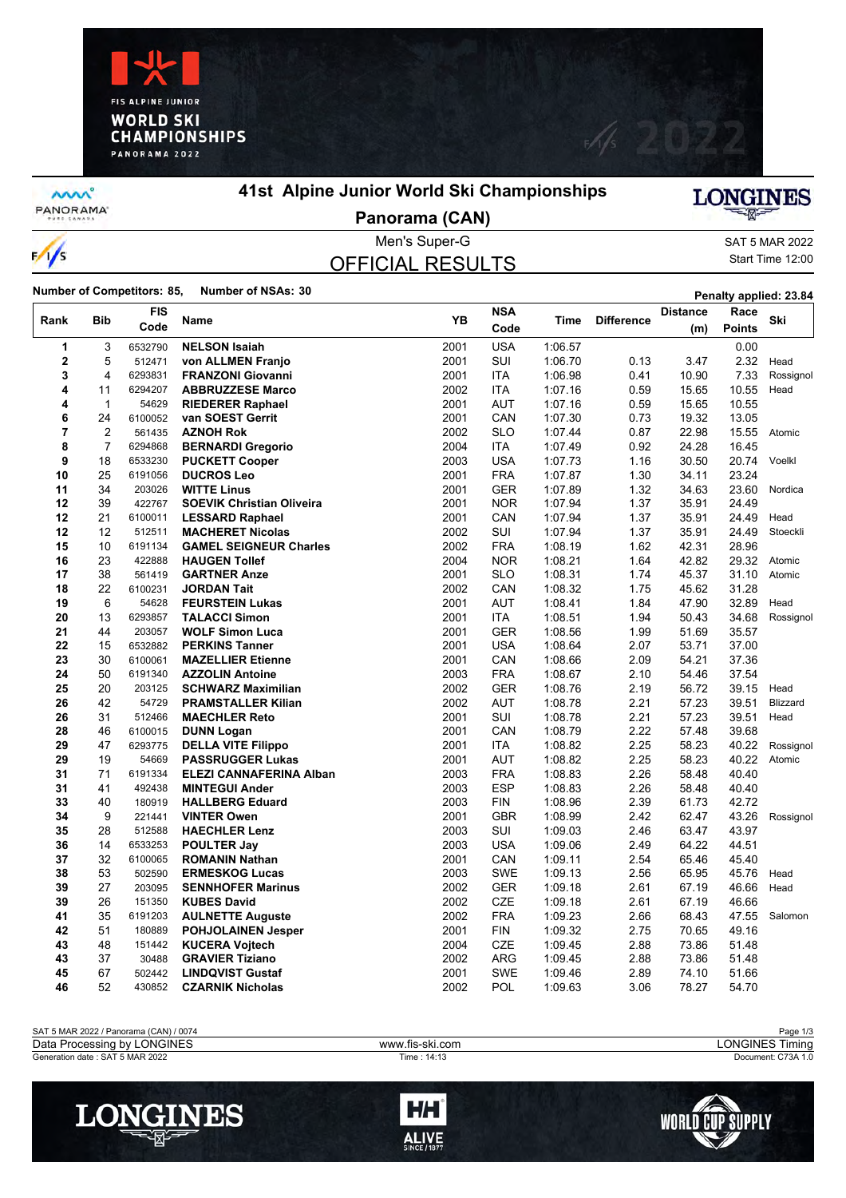



**MW** PANORAMA

 $\frac{1}{s}$ 

#### **41st Alpine Junior World Ski Championships**

# LONGINES

**Panorama (CAN)**

### OFFICIAL RESULTS

Men's Super-G SAT 5 MAR 2022 Start Time 12:00

**Number of Competitors: 85, Number of NSAs: 30 Penalty applied: 23.84** 

| YB<br><b>Bib</b><br><b>Difference</b><br>Ski<br>Rank<br><b>Name</b><br>Time<br>Code<br><b>Points</b><br>Code<br>(m)<br><b>USA</b><br>0.00<br>1<br>3<br><b>NELSON Isaiah</b><br>2001<br>1:06.57<br>6532790<br>$\mathbf 2$<br><b>SUI</b><br>5<br>512471<br>2001<br>1:06.70<br>2.32<br>von ALLMEN Franjo<br>0.13<br>3.47<br>Head<br>3<br>4<br>6293831<br>2001<br><b>ITA</b><br>1:06.98<br>0.41<br>10.90<br>7.33<br><b>FRANZONI Giovanni</b><br>Rossignol<br>4<br>11<br>6294207<br>2002<br><b>ITA</b><br>1:07.16<br>0.59<br>15.65<br>10.55<br><b>ABBRUZZESE Marco</b><br>Head<br>4<br>$\mathbf{1}$<br>54629<br>2001<br><b>AUT</b><br>1:07.16<br>0.59<br>15.65<br>10.55<br><b>RIEDERER Raphael</b><br>6<br>24<br>6100052<br>CAN<br>13.05<br>van SOEST Gerrit<br>2001<br>1:07.30<br>0.73<br>19.32<br>$\overline{7}$<br>$\overline{2}$<br>2002<br><b>SLO</b><br>0.87<br>22.98<br>561435<br><b>AZNOH Rok</b><br>1:07.44<br>15.55<br>Atomic<br>8<br>$\overline{7}$<br>2004<br><b>ITA</b><br>0.92<br>24.28<br>6294868<br>1:07.49<br>16.45<br><b>BERNARDI Gregorio</b><br>9<br>18<br>6533230<br><b>PUCKETT Cooper</b><br>2003<br><b>USA</b><br>1:07.73<br>1.16<br>30.50<br>20.74<br>Voelkl<br>25<br><b>FRA</b><br>1.30<br>34.11<br>23.24<br>10<br>6191056<br><b>DUCROS Leo</b><br>2001<br>1:07.87<br>11<br>34<br>203026<br><b>WITTE Linus</b><br>2001<br>GER<br>1:07.89<br>1.32<br>34.63<br>23.60<br>Nordica |
|---------------------------------------------------------------------------------------------------------------------------------------------------------------------------------------------------------------------------------------------------------------------------------------------------------------------------------------------------------------------------------------------------------------------------------------------------------------------------------------------------------------------------------------------------------------------------------------------------------------------------------------------------------------------------------------------------------------------------------------------------------------------------------------------------------------------------------------------------------------------------------------------------------------------------------------------------------------------------------------------------------------------------------------------------------------------------------------------------------------------------------------------------------------------------------------------------------------------------------------------------------------------------------------------------------------------------------------------------------------------------------------------------|
|                                                                                                                                                                                                                                                                                                                                                                                                                                                                                                                                                                                                                                                                                                                                                                                                                                                                                                                                                                                                                                                                                                                                                                                                                                                                                                                                                                                                   |
|                                                                                                                                                                                                                                                                                                                                                                                                                                                                                                                                                                                                                                                                                                                                                                                                                                                                                                                                                                                                                                                                                                                                                                                                                                                                                                                                                                                                   |
|                                                                                                                                                                                                                                                                                                                                                                                                                                                                                                                                                                                                                                                                                                                                                                                                                                                                                                                                                                                                                                                                                                                                                                                                                                                                                                                                                                                                   |
|                                                                                                                                                                                                                                                                                                                                                                                                                                                                                                                                                                                                                                                                                                                                                                                                                                                                                                                                                                                                                                                                                                                                                                                                                                                                                                                                                                                                   |
|                                                                                                                                                                                                                                                                                                                                                                                                                                                                                                                                                                                                                                                                                                                                                                                                                                                                                                                                                                                                                                                                                                                                                                                                                                                                                                                                                                                                   |
|                                                                                                                                                                                                                                                                                                                                                                                                                                                                                                                                                                                                                                                                                                                                                                                                                                                                                                                                                                                                                                                                                                                                                                                                                                                                                                                                                                                                   |
|                                                                                                                                                                                                                                                                                                                                                                                                                                                                                                                                                                                                                                                                                                                                                                                                                                                                                                                                                                                                                                                                                                                                                                                                                                                                                                                                                                                                   |
|                                                                                                                                                                                                                                                                                                                                                                                                                                                                                                                                                                                                                                                                                                                                                                                                                                                                                                                                                                                                                                                                                                                                                                                                                                                                                                                                                                                                   |
|                                                                                                                                                                                                                                                                                                                                                                                                                                                                                                                                                                                                                                                                                                                                                                                                                                                                                                                                                                                                                                                                                                                                                                                                                                                                                                                                                                                                   |
|                                                                                                                                                                                                                                                                                                                                                                                                                                                                                                                                                                                                                                                                                                                                                                                                                                                                                                                                                                                                                                                                                                                                                                                                                                                                                                                                                                                                   |
|                                                                                                                                                                                                                                                                                                                                                                                                                                                                                                                                                                                                                                                                                                                                                                                                                                                                                                                                                                                                                                                                                                                                                                                                                                                                                                                                                                                                   |
|                                                                                                                                                                                                                                                                                                                                                                                                                                                                                                                                                                                                                                                                                                                                                                                                                                                                                                                                                                                                                                                                                                                                                                                                                                                                                                                                                                                                   |
| 12<br>39<br>422767<br>2001<br><b>NOR</b><br>1:07.94<br>1.37<br>35.91<br>24.49<br><b>SOEVIK Christian Oliveira</b>                                                                                                                                                                                                                                                                                                                                                                                                                                                                                                                                                                                                                                                                                                                                                                                                                                                                                                                                                                                                                                                                                                                                                                                                                                                                                 |
| 12<br>21<br>6100011<br><b>LESSARD Raphael</b><br>2001<br>CAN<br>1:07.94<br>1.37<br>35.91<br>24.49<br>Head                                                                                                                                                                                                                                                                                                                                                                                                                                                                                                                                                                                                                                                                                                                                                                                                                                                                                                                                                                                                                                                                                                                                                                                                                                                                                         |
| 12<br>12<br>512511<br><b>MACHERET Nicolas</b><br>2002<br><b>SUI</b><br>1:07.94<br>1.37<br>35.91<br>24.49<br>Stoeckli                                                                                                                                                                                                                                                                                                                                                                                                                                                                                                                                                                                                                                                                                                                                                                                                                                                                                                                                                                                                                                                                                                                                                                                                                                                                              |
| 15<br>10<br>2002<br><b>FRA</b><br>1:08.19<br>42.31<br>28.96<br>6191134<br><b>GAMEL SEIGNEUR Charles</b><br>1.62                                                                                                                                                                                                                                                                                                                                                                                                                                                                                                                                                                                                                                                                                                                                                                                                                                                                                                                                                                                                                                                                                                                                                                                                                                                                                   |
| 16<br>23<br>2004<br><b>NOR</b><br>1.64<br>42.82<br>422888<br><b>HAUGEN Tollef</b><br>1:08.21<br>29.32<br>Atomic                                                                                                                                                                                                                                                                                                                                                                                                                                                                                                                                                                                                                                                                                                                                                                                                                                                                                                                                                                                                                                                                                                                                                                                                                                                                                   |
| 17<br>38<br>2001<br>1:08.31<br>1.74<br>45.37<br>561419<br><b>GARTNER Anze</b><br><b>SLO</b><br>31.10<br>Atomic                                                                                                                                                                                                                                                                                                                                                                                                                                                                                                                                                                                                                                                                                                                                                                                                                                                                                                                                                                                                                                                                                                                                                                                                                                                                                    |
| 22<br>2002<br>CAN<br>1:08.32<br>1.75<br>45.62<br>31.28<br>18<br>6100231<br><b>JORDAN Tait</b>                                                                                                                                                                                                                                                                                                                                                                                                                                                                                                                                                                                                                                                                                                                                                                                                                                                                                                                                                                                                                                                                                                                                                                                                                                                                                                     |
| 6<br>19<br>2001<br><b>AUT</b><br>1:08.41<br>1.84<br>47.90<br>32.89<br>54628<br><b>FEURSTEIN Lukas</b><br>Head                                                                                                                                                                                                                                                                                                                                                                                                                                                                                                                                                                                                                                                                                                                                                                                                                                                                                                                                                                                                                                                                                                                                                                                                                                                                                     |
| 20<br>13<br>2001<br><b>ITA</b><br>1:08.51<br>1.94<br>50.43<br>34.68<br>6293857<br><b>TALACCI Simon</b><br>Rossignol                                                                                                                                                                                                                                                                                                                                                                                                                                                                                                                                                                                                                                                                                                                                                                                                                                                                                                                                                                                                                                                                                                                                                                                                                                                                               |
| <b>GER</b><br>21<br>44<br>203057<br><b>WOLF Simon Luca</b><br>2001<br>1:08.56<br>1.99<br>51.69<br>35.57                                                                                                                                                                                                                                                                                                                                                                                                                                                                                                                                                                                                                                                                                                                                                                                                                                                                                                                                                                                                                                                                                                                                                                                                                                                                                           |
| 22<br>37.00<br>15<br>6532882<br><b>PERKINS Tanner</b><br>2001<br><b>USA</b><br>1:08.64<br>2.07<br>53.71                                                                                                                                                                                                                                                                                                                                                                                                                                                                                                                                                                                                                                                                                                                                                                                                                                                                                                                                                                                                                                                                                                                                                                                                                                                                                           |
| 23<br>30<br>6100061<br>2001<br>CAN<br>1:08.66<br>2.09<br>54.21<br>37.36<br><b>MAZELLIER Etienne</b>                                                                                                                                                                                                                                                                                                                                                                                                                                                                                                                                                                                                                                                                                                                                                                                                                                                                                                                                                                                                                                                                                                                                                                                                                                                                                               |
| 24<br>50<br>2003<br><b>FRA</b><br>1:08.67<br>2.10<br>54.46<br>37.54<br>6191340<br><b>AZZOLIN Antoine</b>                                                                                                                                                                                                                                                                                                                                                                                                                                                                                                                                                                                                                                                                                                                                                                                                                                                                                                                                                                                                                                                                                                                                                                                                                                                                                          |
| 20<br>25<br>203125<br><b>SCHWARZ Maximilian</b><br>2002<br><b>GER</b><br>1:08.76<br>2.19<br>56.72<br>39.15<br>Head                                                                                                                                                                                                                                                                                                                                                                                                                                                                                                                                                                                                                                                                                                                                                                                                                                                                                                                                                                                                                                                                                                                                                                                                                                                                                |
| 26<br>42<br><b>PRAMSTALLER Kilian</b><br>2002<br><b>AUT</b><br>1:08.78<br>2.21<br>57.23<br>39.51<br>54729<br>Blizzard                                                                                                                                                                                                                                                                                                                                                                                                                                                                                                                                                                                                                                                                                                                                                                                                                                                                                                                                                                                                                                                                                                                                                                                                                                                                             |
| 31<br>SUI<br>2.21<br>57.23<br>39.51<br>26<br>512466<br><b>MAECHLER Reto</b><br>2001<br>1:08.78<br>Head                                                                                                                                                                                                                                                                                                                                                                                                                                                                                                                                                                                                                                                                                                                                                                                                                                                                                                                                                                                                                                                                                                                                                                                                                                                                                            |
| 28<br>46<br>2001<br>CAN<br>1:08.79<br>2.22<br>39.68<br>6100015<br><b>DUNN Logan</b><br>57.48                                                                                                                                                                                                                                                                                                                                                                                                                                                                                                                                                                                                                                                                                                                                                                                                                                                                                                                                                                                                                                                                                                                                                                                                                                                                                                      |
| 29<br>47<br>2001<br><b>ITA</b><br>1:08.82<br>2.25<br>58.23<br>40.22<br>6293775<br><b>DELLA VITE Filippo</b><br>Rossignol<br>29                                                                                                                                                                                                                                                                                                                                                                                                                                                                                                                                                                                                                                                                                                                                                                                                                                                                                                                                                                                                                                                                                                                                                                                                                                                                    |
| 19<br>2001<br><b>AUT</b><br>1:08.82<br>2.25<br>58.23<br>40.22<br>54669<br><b>PASSRUGGER Lukas</b><br>Atomic<br>71                                                                                                                                                                                                                                                                                                                                                                                                                                                                                                                                                                                                                                                                                                                                                                                                                                                                                                                                                                                                                                                                                                                                                                                                                                                                                 |
| 2.26<br>31<br>6191334<br>2003<br><b>FRA</b><br>1:08.83<br>58.48<br>40.40<br><b>ELEZI CANNAFERINA Alban</b><br><b>ESP</b><br>31<br>41<br>492438<br><b>MINTEGUI Ander</b><br>2003<br>1:08.83<br>2.26<br>58.48<br>40.40                                                                                                                                                                                                                                                                                                                                                                                                                                                                                                                                                                                                                                                                                                                                                                                                                                                                                                                                                                                                                                                                                                                                                                              |
| 33<br>40<br>180919<br><b>HALLBERG Eduard</b><br>2003<br><b>FIN</b><br>1:08.96<br>2.39<br>61.73<br>42.72                                                                                                                                                                                                                                                                                                                                                                                                                                                                                                                                                                                                                                                                                                                                                                                                                                                                                                                                                                                                                                                                                                                                                                                                                                                                                           |
| 9<br><b>GBR</b><br>34<br>221441<br><b>VINTER Owen</b><br>2001<br>1:08.99<br>2.42<br>62.47<br>43.26<br>Rossignol                                                                                                                                                                                                                                                                                                                                                                                                                                                                                                                                                                                                                                                                                                                                                                                                                                                                                                                                                                                                                                                                                                                                                                                                                                                                                   |
| 35<br>28<br>512588<br>2003<br>SUI<br>2.46<br>63.47<br>43.97<br><b>HAECHLER Lenz</b><br>1:09.03                                                                                                                                                                                                                                                                                                                                                                                                                                                                                                                                                                                                                                                                                                                                                                                                                                                                                                                                                                                                                                                                                                                                                                                                                                                                                                    |
| 36<br>14<br>6533253<br>2003<br><b>USA</b><br>1:09.06<br>2.49<br>64.22<br>44.51<br><b>POULTER Jay</b>                                                                                                                                                                                                                                                                                                                                                                                                                                                                                                                                                                                                                                                                                                                                                                                                                                                                                                                                                                                                                                                                                                                                                                                                                                                                                              |
| 32<br>37<br>2.54<br>6100065<br>2001<br>CAN<br>1:09.11<br>65.46<br>45.40<br><b>ROMANIN Nathan</b>                                                                                                                                                                                                                                                                                                                                                                                                                                                                                                                                                                                                                                                                                                                                                                                                                                                                                                                                                                                                                                                                                                                                                                                                                                                                                                  |
| 53<br>38<br>2.56<br>65.95<br>502590<br><b>ERMESKOG Lucas</b><br>2003<br>SWE<br>1:09.13<br>45.76<br>Head                                                                                                                                                                                                                                                                                                                                                                                                                                                                                                                                                                                                                                                                                                                                                                                                                                                                                                                                                                                                                                                                                                                                                                                                                                                                                           |
| 39<br>27<br>203095<br><b>SENNHOFER Marinus</b><br>2002<br>GER<br>1:09.18<br>2.61<br>67.19<br>46.66<br>Head                                                                                                                                                                                                                                                                                                                                                                                                                                                                                                                                                                                                                                                                                                                                                                                                                                                                                                                                                                                                                                                                                                                                                                                                                                                                                        |
| 39<br>26<br>151350<br><b>KUBES David</b><br>2002<br><b>CZE</b><br>1:09.18<br>2.61<br>67.19<br>46.66                                                                                                                                                                                                                                                                                                                                                                                                                                                                                                                                                                                                                                                                                                                                                                                                                                                                                                                                                                                                                                                                                                                                                                                                                                                                                               |
| <b>FRA</b><br>41<br>35<br>6191203<br><b>AULNETTE Auguste</b><br>2002<br>1:09.23<br>2.66<br>68.43<br>47.55<br>Salomon                                                                                                                                                                                                                                                                                                                                                                                                                                                                                                                                                                                                                                                                                                                                                                                                                                                                                                                                                                                                                                                                                                                                                                                                                                                                              |
| 42<br>51<br>180889<br><b>POHJOLAINEN Jesper</b><br>2001<br><b>FIN</b><br>1:09.32<br>2.75<br>70.65<br>49.16                                                                                                                                                                                                                                                                                                                                                                                                                                                                                                                                                                                                                                                                                                                                                                                                                                                                                                                                                                                                                                                                                                                                                                                                                                                                                        |
| 48<br>2004<br><b>CZE</b><br>43<br><b>KUCERA Vojtech</b><br>1:09.45<br>2.88<br>73.86<br>51.48<br>151442                                                                                                                                                                                                                                                                                                                                                                                                                                                                                                                                                                                                                                                                                                                                                                                                                                                                                                                                                                                                                                                                                                                                                                                                                                                                                            |
| 37<br><b>ARG</b><br>2.88<br>43<br>30488<br><b>GRAVIER Tiziano</b><br>2002<br>1:09.45<br>73.86<br>51.48                                                                                                                                                                                                                                                                                                                                                                                                                                                                                                                                                                                                                                                                                                                                                                                                                                                                                                                                                                                                                                                                                                                                                                                                                                                                                            |
| 67<br>2001<br>2.89<br>45<br>502442<br><b>LINDQVIST Gustaf</b><br><b>SWE</b><br>1:09.46<br>74.10<br>51.66                                                                                                                                                                                                                                                                                                                                                                                                                                                                                                                                                                                                                                                                                                                                                                                                                                                                                                                                                                                                                                                                                                                                                                                                                                                                                          |
| 52<br>2002<br>POL<br>3.06<br>46<br>430852<br><b>CZARNIK Nicholas</b><br>1:09.63<br>78.27<br>54.70                                                                                                                                                                                                                                                                                                                                                                                                                                                                                                                                                                                                                                                                                                                                                                                                                                                                                                                                                                                                                                                                                                                                                                                                                                                                                                 |

| SAT 5 MAR 2022 / Panorama (CAN) / 0074 |                 | Page 1/3                     |
|----------------------------------------|-----------------|------------------------------|
| Data Processing by LONGINES            | www.fis-ski.com | <b>LONGINES Ti</b><br>Fimina |
| Generation date: SAT 5 MAR 2022        | Time : 14:13    | Document: C73A 1.0           |
|                                        |                 |                              |





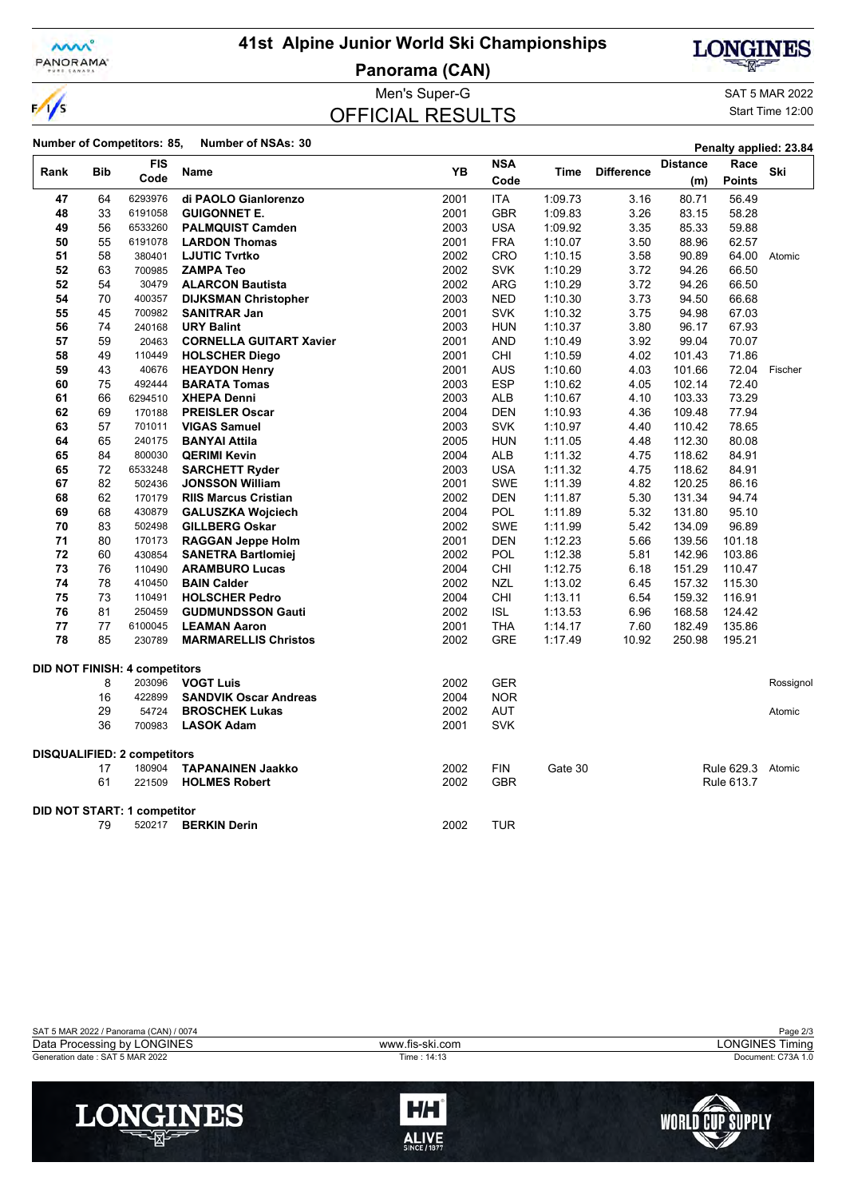

## **41st Alpine Junior World Ski Championships**

**Panorama (CAN)**



SAT 5 MAR 2022

**LONGINES** 

**Penalty applied: 23.84** 

Start Time 12:00

|               |            |                                   |                                | Men's Super-G           |                    |             |                   |                        |                       | SAT 5 MAR 20   |
|---------------|------------|-----------------------------------|--------------------------------|-------------------------|--------------------|-------------|-------------------|------------------------|-----------------------|----------------|
| $\frac{1}{s}$ |            |                                   |                                | <b>OFFICIAL RESULTS</b> |                    |             |                   |                        |                       | Start Time 12: |
|               |            | <b>Number of Competitors: 85,</b> | <b>Number of NSAs: 30</b>      |                         |                    |             |                   |                        | Penalty applied: 23.  |                |
| Rank          | <b>Bib</b> | <b>FIS</b><br>Code                | <b>Name</b>                    | <b>YB</b>               | <b>NSA</b><br>Code | <b>Time</b> | <b>Difference</b> | <b>Distance</b><br>(m) | Race<br><b>Points</b> | Ski            |
| 47            | 64         | 6293976                           | di PAOLO Gianlorenzo           | 2001                    | <b>ITA</b>         | 1:09.73     | 3.16              | 80.71                  | 56.49                 |                |
| 48            | 33         | 6191058                           | <b>GUIGONNET E.</b>            | 2001                    | <b>GBR</b>         | 1:09.83     | 3.26              | 83.15                  | 58.28                 |                |
| 49            | 56         | 6533260                           | <b>PALMQUIST Camden</b>        | 2003                    | <b>USA</b>         | 1:09.92     | 3.35              | 85.33                  | 59.88                 |                |
| 50            | 55         | 6191078                           | <b>LARDON Thomas</b>           | 2001                    | <b>FRA</b>         | 1:10.07     | 3.50              | 88.96                  | 62.57                 |                |
| 51            | 58         | 380401                            | <b>LJUTIC Tvrtko</b>           | 2002                    | <b>CRO</b>         | 1:10.15     | 3.58              | 90.89                  | 64.00                 | Atomic         |
| 52            | 63         | 700985                            | <b>ZAMPA Teo</b>               | 2002                    | <b>SVK</b>         | 1:10.29     | 3.72              | 94.26                  | 66.50                 |                |
| 52            | 54         | 30479                             | <b>ALARCON Bautista</b>        | 2002                    | <b>ARG</b>         | 1:10.29     | 3.72              | 94.26                  | 66.50                 |                |
| 54            | 70         | 400357                            | <b>DIJKSMAN Christopher</b>    | 2003                    | <b>NED</b>         | 1:10.30     | 3.73              | 94.50                  | 66.68                 |                |
| 55            | 45         | 700982                            | <b>SANITRAR Jan</b>            | 2001                    | <b>SVK</b>         | 1:10.32     | 3.75              | 94.98                  | 67.03                 |                |
| 56            | 74         | 240168                            | <b>URY Balint</b>              | 2003                    | <b>HUN</b>         | 1:10.37     | 3.80              | 96.17                  | 67.93                 |                |
| 57            | 59         | 20463                             | <b>CORNELLA GUITART Xavier</b> | 2001                    | <b>AND</b>         | 1:10.49     | 3.92              | 99.04                  | 70.07                 |                |
| 58            | 49         | 110449                            | <b>HOLSCHER Diego</b>          | 2001                    | <b>CHI</b>         | 1:10.59     | 4.02              | 101.43                 | 71.86                 |                |
| 59            | 43         | 40676                             | <b>HEAYDON Henry</b>           | 2001                    | <b>AUS</b>         | 1:10.60     | 4.03              | 101.66                 | 72.04                 | Fischer        |
| 60            | 75         | 492444                            | <b>BARATA Tomas</b>            | 2003                    | <b>ESP</b>         | 1:10.62     | 4.05              | 102.14                 | 72.40                 |                |
| 61            | 66         | 6294510                           | <b>XHEPA Denni</b>             | 2003                    | <b>ALB</b>         | 1:10.67     | 4.10              | 103.33                 | 73.29                 |                |
| 62            | 69         | 170188                            | <b>PREISLER Oscar</b>          | 2004                    | <b>DEN</b>         | 1:10.93     | 4.36              | 109.48                 | 77.94                 |                |
| 63            | 57         | 701011                            | <b>VIGAS Samuel</b>            | 2003                    | <b>SVK</b>         | 1:10.97     | 4.40              | 110.42                 | 78.65                 |                |
| 64            | 65         | 240175                            | <b>BANYAI Attila</b>           | 2005                    | <b>HUN</b>         | 1:11.05     | 4.48              | 112.30                 | 80.08                 |                |
| 65            | 84         | 800030                            | <b>QERIMI Kevin</b>            | 2004                    | <b>ALB</b>         | 1:11.32     | 4.75              | 118.62                 | 84.91                 |                |
| 65            | 72         | 6533248                           | <b>SARCHETT Ryder</b>          | 2003                    | <b>USA</b>         | 1:11.32     | 4.75              | 118.62                 | 84.91                 |                |
| 67            | 82         | 502436                            | <b>JONSSON William</b>         | 2001                    | <b>SWE</b>         | 1:11.39     | 4.82              | 120.25                 | 86.16                 |                |
| 68            | 62         | 170179                            | <b>RIIS Marcus Cristian</b>    | 2002                    | <b>DEN</b>         | 1:11.87     | 5.30              | 131.34                 | 94.74                 |                |
| 69            | 68         | 430879                            | <b>GALUSZKA Wojciech</b>       | 2004                    | <b>POL</b>         | 1:11.89     | 5.32              | 131.80                 | 95.10                 |                |
| 70            | 83         | 502498                            | <b>GILLBERG Oskar</b>          | 2002                    | <b>SWE</b>         | 1:11.99     | 5.42              | 134.09                 | 96.89                 |                |
| 71            | 80         | 170173                            | <b>RAGGAN Jeppe Holm</b>       | 2001                    | <b>DEN</b>         | 1:12.23     | 5.66              | 139.56                 | 101.18                |                |
| 72            | 60         | 430854                            | <b>SANETRA Bartlomiei</b>      | 2002                    | POL                | 1:12.38     | 5.81              | 142.96                 | 103.86                |                |
| 73            | 76         | 110490                            | <b>ARAMBURO Lucas</b>          | 2004                    | CHI                | 1:12.75     | 6.18              | 151.29                 | 110.47                |                |

 76 110490 **ARAMBURO Lucas** 2004 CHI 1:12.75 6.18 151.29 110.47 78 410450 **BAIN Calder** 2002 NZL 1:13.02 6.45 157.32 115.30 73 110491 **HOLSCHER Pedro** 2004 CHI 1:13.11 6.54 159.32 116.91 81 250459 **GUDMUNDSSON Gauti** 2002 ISL 1:13.53 6.96 168.58 124.42 77 6100045 **LEAMAN Aaron** 2001 THA 1:14.17 7.60 182.49 135.86

203096 **VOGT Luis** 2002 GER Rossignol

 180904 **TAPANAINEN Jaakko** 2002 FIN Gate 30 Rule 629.3 Atomic 221509 **HOLMES Robert** 2002 GBR Rule 613.7

**BROSCHEK Lukas** 2002 AUT **Atomic Atomic Atomic Atomic Atomic Atomic Atomic Atomic Atomic Atomic Atomic Atomic Atomic** 

| <b>DISQUALIFIED: 2 competitors</b> |  |
|------------------------------------|--|
|------------------------------------|--|

**DID NOT FINISH: 4 competitors**

|  | DID NOT CTADT, 4 compositor |  |
|--|-----------------------------|--|

#### **DID NOT START: 1 competitor**<br>FREE S00217 520217 **BERKIN Derin** 2002 TUR

**MARMARELLIS Christos** 

422899 **SANDVIK Oscar Andreas** 2004 NOR

700983 **LASOK Adam** 2001 SVK

| SAT 5 MAR 2022 / Panorama (CAN) / 0074 |                 | Page 2/3           |
|----------------------------------------|-----------------|--------------------|
| Data Processing by LONGINES            | www.fis-ski.com | LONGINES Timing    |
| Generation date: SAT 5 MAR 2022        | Time: 14:13     | Document: C73A 1.0 |
|                                        |                 |                    |